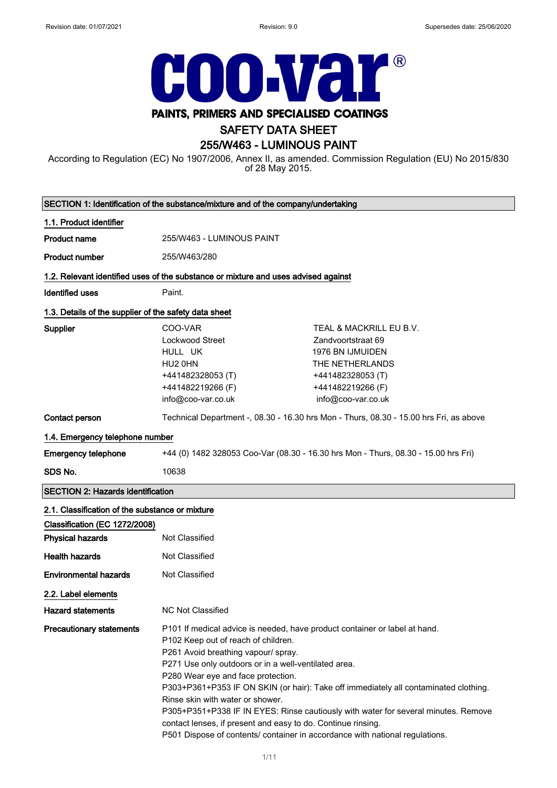

# PAINTS, PRIMERS AND SPECIALISED COATINGS

# SAFETY DATA SHEET

# 255/W463 - LUMINOUS PAINT

According to Regulation (EC) No 1907/2006, Annex II, as amended. Commission Regulation (EU) No 2015/830 of 28 May 2015.

|                                                       | SECTION 1: Identification of the substance/mixture and of the company/undertaking                                                                                                                                                                                                                                                                                                                                                          |                                                                                                                                                                            |
|-------------------------------------------------------|--------------------------------------------------------------------------------------------------------------------------------------------------------------------------------------------------------------------------------------------------------------------------------------------------------------------------------------------------------------------------------------------------------------------------------------------|----------------------------------------------------------------------------------------------------------------------------------------------------------------------------|
| 1.1. Product identifier                               |                                                                                                                                                                                                                                                                                                                                                                                                                                            |                                                                                                                                                                            |
| <b>Product name</b>                                   | 255/W463 - LUMINOUS PAINT                                                                                                                                                                                                                                                                                                                                                                                                                  |                                                                                                                                                                            |
| <b>Product number</b>                                 | 255/W463/280                                                                                                                                                                                                                                                                                                                                                                                                                               |                                                                                                                                                                            |
|                                                       | 1.2. Relevant identified uses of the substance or mixture and uses advised against                                                                                                                                                                                                                                                                                                                                                         |                                                                                                                                                                            |
| <b>Identified uses</b>                                | Paint.                                                                                                                                                                                                                                                                                                                                                                                                                                     |                                                                                                                                                                            |
| 1.3. Details of the supplier of the safety data sheet |                                                                                                                                                                                                                                                                                                                                                                                                                                            |                                                                                                                                                                            |
| Supplier                                              | COO-VAR<br>Lockwood Street<br>HULL UK<br>HU2 0HN<br>+441482328053(T)<br>+441482219266 (F)<br>info@coo-var.co.uk                                                                                                                                                                                                                                                                                                                            | TEAL & MACKRILL EU B.V.<br>Zandvoortstraat 69<br>1976 BN IJMUIDEN<br>THE NETHERLANDS<br>+441482328053 (T)<br>+441482219266 (F)<br>info@coo-var.co.uk                       |
| Contact person                                        |                                                                                                                                                                                                                                                                                                                                                                                                                                            | Technical Department -, 08.30 - 16.30 hrs Mon - Thurs, 08.30 - 15.00 hrs Fri, as above                                                                                     |
| 1.4. Emergency telephone number                       |                                                                                                                                                                                                                                                                                                                                                                                                                                            |                                                                                                                                                                            |
| <b>Emergency telephone</b>                            | +44 (0) 1482 328053 Coo-Var (08.30 - 16.30 hrs Mon - Thurs, 08.30 - 15.00 hrs Fri)                                                                                                                                                                                                                                                                                                                                                         |                                                                                                                                                                            |
| SDS No.                                               | 10638                                                                                                                                                                                                                                                                                                                                                                                                                                      |                                                                                                                                                                            |
| <b>SECTION 2: Hazards identification</b>              |                                                                                                                                                                                                                                                                                                                                                                                                                                            |                                                                                                                                                                            |
| 2.1. Classification of the substance or mixture       |                                                                                                                                                                                                                                                                                                                                                                                                                                            |                                                                                                                                                                            |
| Classification (EC 1272/2008)                         |                                                                                                                                                                                                                                                                                                                                                                                                                                            |                                                                                                                                                                            |
| <b>Physical hazards</b>                               | Not Classified                                                                                                                                                                                                                                                                                                                                                                                                                             |                                                                                                                                                                            |
| <b>Health hazards</b>                                 | <b>Not Classified</b>                                                                                                                                                                                                                                                                                                                                                                                                                      |                                                                                                                                                                            |
| <b>Environmental hazards</b>                          | Not Classified                                                                                                                                                                                                                                                                                                                                                                                                                             |                                                                                                                                                                            |
| 2.2. Label elements                                   |                                                                                                                                                                                                                                                                                                                                                                                                                                            |                                                                                                                                                                            |
| <b>Hazard statements</b>                              | <b>NC Not Classified</b>                                                                                                                                                                                                                                                                                                                                                                                                                   |                                                                                                                                                                            |
| <b>Precautionary statements</b>                       | P101 If medical advice is needed, have product container or label at hand.<br>P102 Keep out of reach of children.<br>P261 Avoid breathing vapour/ spray.<br>P271 Use only outdoors or in a well-ventilated area.<br>P280 Wear eye and face protection.<br>Rinse skin with water or shower.<br>contact lenses, if present and easy to do. Continue rinsing.<br>P501 Dispose of contents/ container in accordance with national regulations. | P303+P361+P353 IF ON SKIN (or hair): Take off immediately all contaminated clothing.<br>P305+P351+P338 IF IN EYES: Rinse cautiously with water for several minutes. Remove |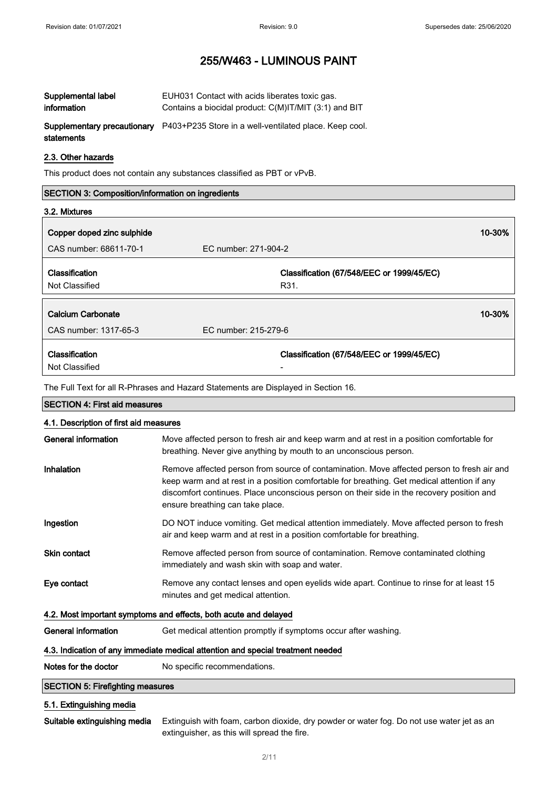| Supplemental label | EUH031 Contact with acids liberates toxic gas.                                            |
|--------------------|-------------------------------------------------------------------------------------------|
| information        | Contains a biocidal product: C(M)IT/MIT (3:1) and BIT                                     |
| statements         | <b>Supplementary precautionary</b> P403+P235 Store in a well-ventilated place. Keep cool. |

### 2.3. Other hazards

This product does not contain any substances classified as PBT or vPvB.

# SECTION 3: Composition/information on ingredients 3.2. Mixtures **Copper doped zinc sulphide 10-30%** and 200 minutes of the 10-30 minutes of the 10-30 minutes of the 10-30 minutes of the 10-30 minutes of the 10-30 minutes of the 10-30 minutes of the 10-30 minutes of the 10-30 minutes of CAS number: 68611-70-1 EC number: 271-904-2 Classification Not Classified Classification (67/548/EEC or 1999/45/EC) R31. Calcium Carbonate 2006 10-30% and 2006 10-30% and 2006 10-30% and 2006 10-30% and 2006 10-30% and 2006 10-30% CAS number: 1317-65-3 EC number: 215-279-6 Classification Not Classified Classification (67/548/EEC or 1999/45/EC) -

The Full Text for all R-Phrases and Hazard Statements are Displayed in Section 16.

| <b>SECTION 4: First aid measures</b>                                            |                                                                                                                                                                                                                                                                                                                            |  |
|---------------------------------------------------------------------------------|----------------------------------------------------------------------------------------------------------------------------------------------------------------------------------------------------------------------------------------------------------------------------------------------------------------------------|--|
| 4.1. Description of first aid measures                                          |                                                                                                                                                                                                                                                                                                                            |  |
| <b>General information</b>                                                      | Move affected person to fresh air and keep warm and at rest in a position comfortable for<br>breathing. Never give anything by mouth to an unconscious person.                                                                                                                                                             |  |
| Inhalation                                                                      | Remove affected person from source of contamination. Move affected person to fresh air and<br>keep warm and at rest in a position comfortable for breathing. Get medical attention if any<br>discomfort continues. Place unconscious person on their side in the recovery position and<br>ensure breathing can take place. |  |
| Ingestion                                                                       | DO NOT induce vomiting. Get medical attention immediately. Move affected person to fresh<br>air and keep warm and at rest in a position comfortable for breathing.                                                                                                                                                         |  |
| <b>Skin contact</b>                                                             | Remove affected person from source of contamination. Remove contaminated clothing<br>immediately and wash skin with soap and water.                                                                                                                                                                                        |  |
| Eye contact                                                                     | Remove any contact lenses and open eyelids wide apart. Continue to rinse for at least 15<br>minutes and get medical attention.                                                                                                                                                                                             |  |
| 4.2. Most important symptoms and effects, both acute and delayed                |                                                                                                                                                                                                                                                                                                                            |  |
| General information                                                             | Get medical attention promptly if symptoms occur after washing.                                                                                                                                                                                                                                                            |  |
| 4.3. Indication of any immediate medical attention and special treatment needed |                                                                                                                                                                                                                                                                                                                            |  |
| Notes for the doctor                                                            | No specific recommendations.                                                                                                                                                                                                                                                                                               |  |
| <b>SECTION 5: Firefighting measures</b>                                         |                                                                                                                                                                                                                                                                                                                            |  |
| 5.1. Extinguishing media                                                        |                                                                                                                                                                                                                                                                                                                            |  |
| Suitable extinguishing media                                                    | Extinguish with foam, carbon dioxide, dry powder or water fog. Do not use water jet as an                                                                                                                                                                                                                                  |  |

### 2/ 11

extinguisher, as this will spread the fire.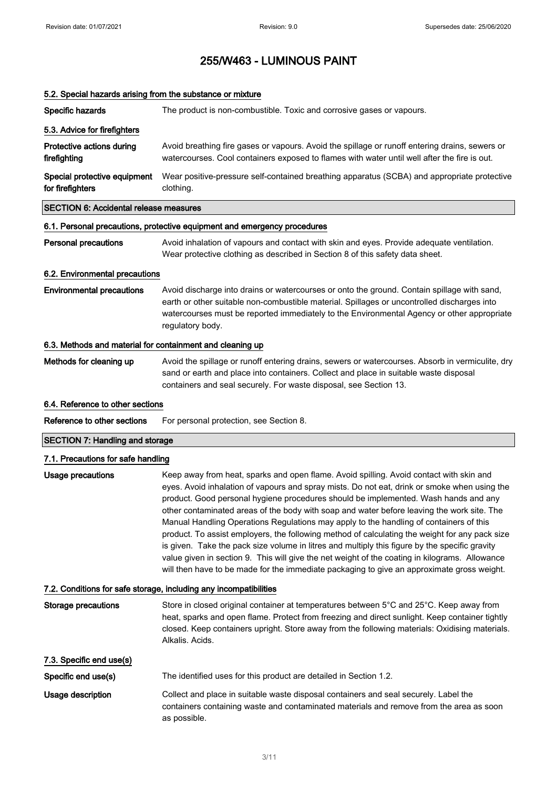# 5.2. Special hazards arising from the substance or mixture Specific hazards The product is non-combustible. Toxic and corrosive gases or vapours. 5.3. Advice for firefighters Protective actions during firefighting Avoid breathing fire gases or vapours. Avoid the spillage or runoff entering drains, sewers or watercourses. Cool containers exposed to flames with water until well after the fire is out. Special protective equipment for firefighters Wear positive-pressure self-contained breathing apparatus (SCBA) and appropriate protective clothing. SECTION 6: Accidental release measures 6.1. Personal precautions, protective equipment and emergency procedures Personal precautions Avoid inhalation of vapours and contact with skin and eyes. Provide adequate ventilation. Wear protective clothing as described in Section 8 of this safety data sheet. 6.2. Environmental precautions Environmental precautions Avoid discharge into drains or watercourses or onto the ground. Contain spillage with sand, earth or other suitable non-combustible material. Spillages or uncontrolled discharges into watercourses must be reported immediately to the Environmental Agency or other appropriate regulatory body. 6.3. Methods and material for containment and cleaning up Methods for cleaning up Avoid the spillage or runoff entering drains, sewers or watercourses. Absorb in vermiculite, dry sand or earth and place into containers. Collect and place in suitable waste disposal containers and seal securely. For waste disposal, see Section 13. 6.4. Reference to other sections Reference to other sections For personal protection, see Section 8. SECTION 7: Handling and storage 7.1. Precautions for safe handling Usage precautions **Keep away from heat, sparks and open flame**. Avoid spilling. Avoid contact with skin and eyes. Avoid inhalation of vapours and spray mists. Do not eat, drink or smoke when using the product. Good personal hygiene procedures should be implemented. Wash hands and any other contaminated areas of the body with soap and water before leaving the work site. The Manual Handling Operations Regulations may apply to the handling of containers of this product. To assist employers, the following method of calculating the weight for any pack size is given. Take the pack size volume in litres and multiply this figure by the specific gravity value given in section 9. This will give the net weight of the coating in kilograms. Allowance will then have to be made for the immediate packaging to give an approximate gross weight. 7.2. Conditions for safe storage, including any incompatibilities Storage precautions Store in closed original container at temperatures between 5°C and 25°C. Keep away from heat, sparks and open flame. Protect from freezing and direct sunlight. Keep container tightly closed. Keep containers upright. Store away from the following materials: Oxidising materials. Alkalis. Acids. 7.3. Specific end use(s) Specific end use(s) The identified uses for this product are detailed in Section 1.2. Usage description Collect and place in suitable waste disposal containers and seal securely. Label the containers containing waste and contaminated materials and remove from the area as soon as possible.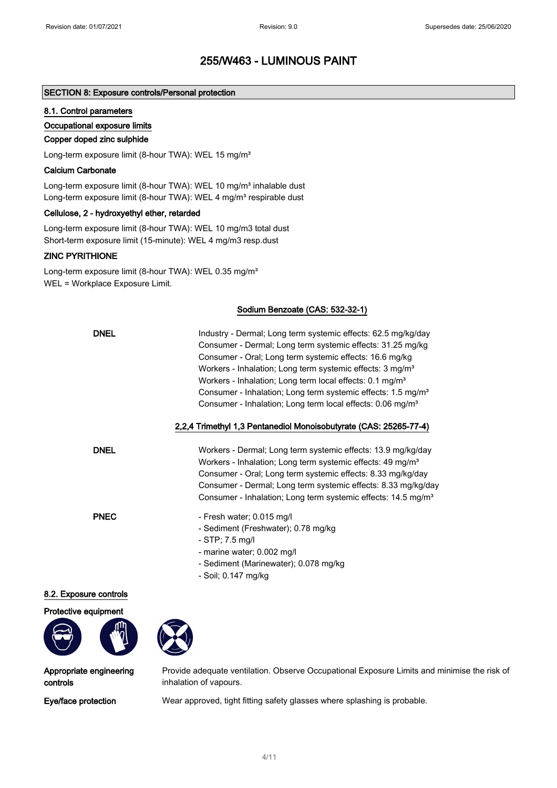# SECTION 8: Exposure controls/Personal protection

### 8.1. Control parameters

### Occupational exposure limits

### Copper doped zinc sulphide

Long-term exposure limit (8-hour TWA): WEL 15 mg/m<sup>3</sup>

### Calcium Carbonate

Long-term exposure limit (8-hour TWA): WEL 10 mg/m<sup>3</sup> inhalable dust Long-term exposure limit (8-hour TWA): WEL 4 mg/m<sup>3</sup> respirable dust

### Cellulose, 2 - hydroxyethyl ether, retarded

Long-term exposure limit (8-hour TWA): WEL 10 mg/m3 total dust Short-term exposure limit (15-minute): WEL 4 mg/m3 resp.dust

# ZINC PYRITHIONE

Long-term exposure limit (8-hour TWA): WEL 0.35 mg/m<sup>3</sup> WEL = Workplace Exposure Limit.

### Sodium Benzoate (CAS: 532-32-1)

| <b>DNEL</b>              | Industry - Dermal; Long term systemic effects: 62.5 mg/kg/day<br>Consumer - Dermal; Long term systemic effects: 31.25 mg/kg<br>Consumer - Oral; Long term systemic effects: 16.6 mg/kg<br>Workers - Inhalation; Long term systemic effects: 3 mg/m <sup>3</sup><br>Workers - Inhalation; Long term local effects: 0.1 mg/m <sup>3</sup><br>Consumer - Inhalation; Long term systemic effects: 1.5 mg/m <sup>3</sup><br>Consumer - Inhalation; Long term local effects: 0.06 mg/m <sup>3</sup> |
|--------------------------|-----------------------------------------------------------------------------------------------------------------------------------------------------------------------------------------------------------------------------------------------------------------------------------------------------------------------------------------------------------------------------------------------------------------------------------------------------------------------------------------------|
|                          | 2,2,4 Trimethyl 1,3 Pentanediol Monoisobutyrate (CAS: 25265-77-4)                                                                                                                                                                                                                                                                                                                                                                                                                             |
| <b>DNEL</b>              | Workers - Dermal; Long term systemic effects: 13.9 mg/kg/day<br>Workers - Inhalation; Long term systemic effects: 49 mg/m <sup>3</sup><br>Consumer - Oral; Long term systemic effects: 8.33 mg/kg/day<br>Consumer - Dermal; Long term systemic effects: 8.33 mg/kg/day<br>Consumer - Inhalation; Long term systemic effects: 14.5 mg/m <sup>3</sup>                                                                                                                                           |
| <b>PNEC</b>              | - Fresh water; 0.015 mg/l<br>- Sediment (Freshwater); 0.78 mg/kg<br>- STP; 7.5 mg/l<br>- marine water; 0.002 mg/l<br>- Sediment (Marinewater); 0.078 mg/kg<br>- Soil; 0.147 mg/kg                                                                                                                                                                                                                                                                                                             |
| <b>Exposure controls</b> |                                                                                                                                                                                                                                                                                                                                                                                                                                                                                               |

# $8.2.$

Protective equipment





Appropriate engineering controls

Provide adequate ventilation. Observe Occupational Exposure Limits and minimise the risk of inhalation of vapours.

Eye/face protection Wear approved, tight fitting safety glasses where splashing is probable.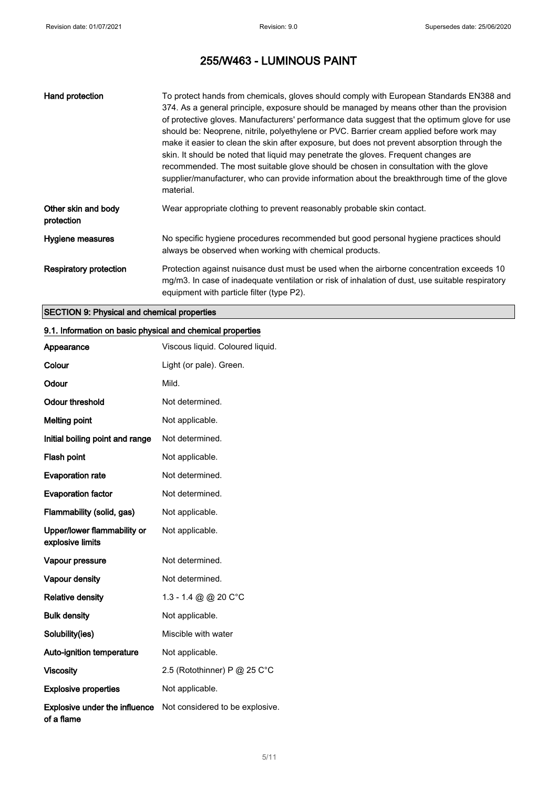| Hand protection                   | To protect hands from chemicals, gloves should comply with European Standards EN388 and<br>374. As a general principle, exposure should be managed by means other than the provision<br>of protective gloves. Manufacturers' performance data suggest that the optimum glove for use<br>should be: Neoprene, nitrile, polyethylene or PVC. Barrier cream applied before work may<br>make it easier to clean the skin after exposure, but does not prevent absorption through the<br>skin. It should be noted that liquid may penetrate the gloves. Frequent changes are<br>recommended. The most suitable glove should be chosen in consultation with the glove<br>supplier/manufacturer, who can provide information about the breakthrough time of the glove<br>material. |
|-----------------------------------|-----------------------------------------------------------------------------------------------------------------------------------------------------------------------------------------------------------------------------------------------------------------------------------------------------------------------------------------------------------------------------------------------------------------------------------------------------------------------------------------------------------------------------------------------------------------------------------------------------------------------------------------------------------------------------------------------------------------------------------------------------------------------------|
| Other skin and body<br>protection | Wear appropriate clothing to prevent reasonably probable skin contact.                                                                                                                                                                                                                                                                                                                                                                                                                                                                                                                                                                                                                                                                                                      |
| Hygiene measures                  | No specific hygiene procedures recommended but good personal hygiene practices should<br>always be observed when working with chemical products.                                                                                                                                                                                                                                                                                                                                                                                                                                                                                                                                                                                                                            |
| Respiratory protection            | Protection against nuisance dust must be used when the airborne concentration exceeds 10<br>mg/m3. In case of inadequate ventilation or risk of inhalation of dust, use suitable respiratory<br>equipment with particle filter (type P2).                                                                                                                                                                                                                                                                                                                                                                                                                                                                                                                                   |

# SECTION 9: Physical and chemical properties

# 9.1. Information on basic physical and chemical properties

| Appearance                                         | Viscous liquid. Coloured liquid. |
|----------------------------------------------------|----------------------------------|
| Colour                                             | Light (or pale). Green.          |
| Odour                                              | Mild.                            |
| <b>Odour threshold</b>                             | Not determined.                  |
| <b>Melting point</b>                               | Not applicable.                  |
| Initial boiling point and range                    | Not determined.                  |
| Flash point                                        | Not applicable.                  |
| <b>Evaporation rate</b>                            | Not determined.                  |
| <b>Evaporation factor</b>                          | Not determined.                  |
| Flammability (solid, gas)                          | Not applicable.                  |
| Upper/lower flammability or<br>explosive limits    | Not applicable.                  |
| Vapour pressure                                    | Not determined.                  |
| Vapour density                                     | Not determined.                  |
| <b>Relative density</b>                            | 1.3 - 1.4 @ @ 20 C°C             |
| <b>Bulk density</b>                                | Not applicable.                  |
| Solubility(ies)                                    | Miscible with water              |
| <b>Auto-ignition temperature</b>                   | Not applicable.                  |
| <b>Viscosity</b>                                   | 2.5 (Rotothinner) P @ 25 C°C     |
| <b>Explosive properties</b>                        | Not applicable.                  |
| <b>Explosive under the influence</b><br>of a flame | Not considered to be explosive.  |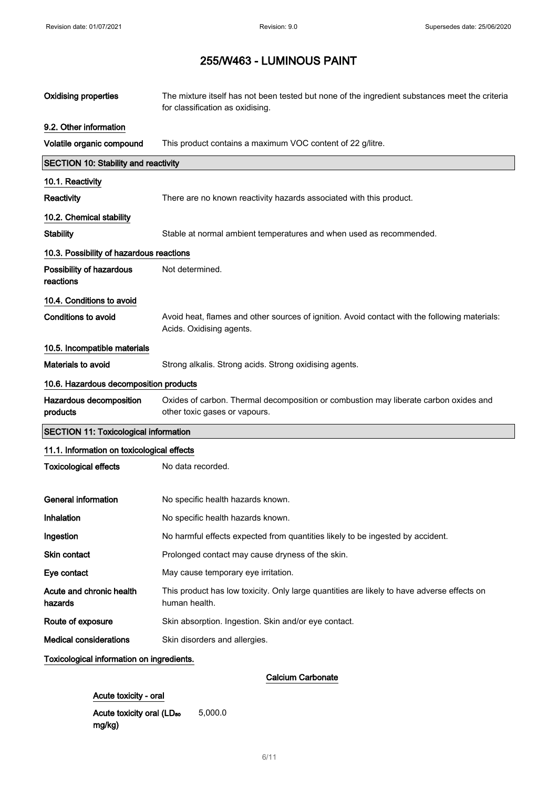| <b>Oxidising properties</b>                  | The mixture itself has not been tested but none of the ingredient substances meet the criteria<br>for classification as oxidising. |
|----------------------------------------------|------------------------------------------------------------------------------------------------------------------------------------|
| 9.2. Other information                       |                                                                                                                                    |
| Volatile organic compound                    | This product contains a maximum VOC content of 22 g/litre.                                                                         |
| <b>SECTION 10: Stability and reactivity</b>  |                                                                                                                                    |
| 10.1. Reactivity                             |                                                                                                                                    |
| Reactivity                                   | There are no known reactivity hazards associated with this product.                                                                |
| 10.2. Chemical stability                     |                                                                                                                                    |
| <b>Stability</b>                             | Stable at normal ambient temperatures and when used as recommended.                                                                |
| 10.3. Possibility of hazardous reactions     |                                                                                                                                    |
| Possibility of hazardous<br>reactions        | Not determined.                                                                                                                    |
| 10.4. Conditions to avoid                    |                                                                                                                                    |
| <b>Conditions to avoid</b>                   | Avoid heat, flames and other sources of ignition. Avoid contact with the following materials:<br>Acids. Oxidising agents.          |
| 10.5. Incompatible materials                 |                                                                                                                                    |
| <b>Materials to avoid</b>                    | Strong alkalis. Strong acids. Strong oxidising agents.                                                                             |
| 10.6. Hazardous decomposition products       |                                                                                                                                    |
| Hazardous decomposition<br>products          | Oxides of carbon. Thermal decomposition or combustion may liberate carbon oxides and<br>other toxic gases or vapours.              |
| <b>SECTION 11: Toxicological information</b> |                                                                                                                                    |
| 11.1. Information on toxicological effects   |                                                                                                                                    |
| <b>Toxicological effects</b>                 | No data recorded.                                                                                                                  |
| <b>General information</b>                   | No specific health hazards known.                                                                                                  |
| Inhalation                                   | No specific health hazards known.                                                                                                  |
| Ingestion                                    | No harmful effects expected from quantities likely to be ingested by accident.                                                     |
| Skin contact                                 | Prolonged contact may cause dryness of the skin.                                                                                   |
| Eye contact                                  | May cause temporary eye irritation.                                                                                                |
| Acute and chronic health<br>hazards          | This product has low toxicity. Only large quantities are likely to have adverse effects on<br>human health.                        |
| Route of exposure                            | Skin absorption. Ingestion. Skin and/or eye contact.                                                                               |
| <b>Medical considerations</b>                | Skin disorders and allergies.                                                                                                      |
| Toxicological information on ingredients.    |                                                                                                                                    |
|                                              | <b>Calcium Carbonate</b>                                                                                                           |

# Acute toxicity - oral

Acute toxicity oral (LD<sub>50</sub> mg/kg) 5,000.0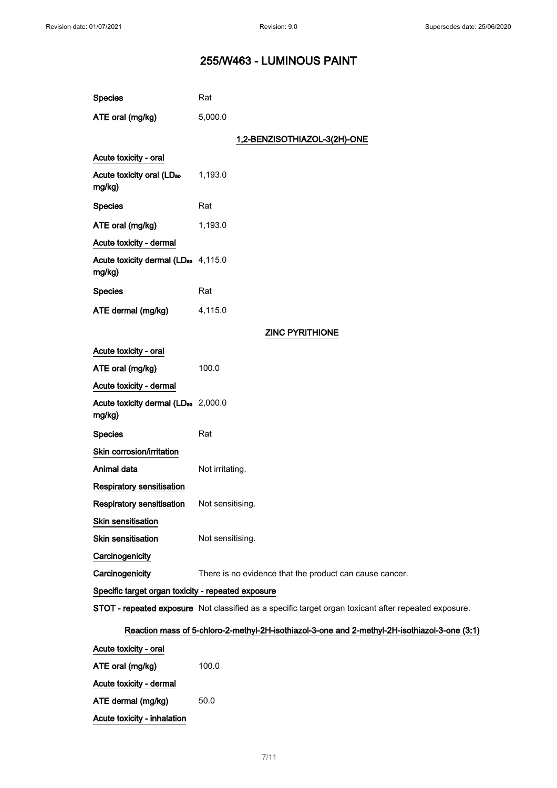| <b>Species</b>                                            | Rat                                                                                                  |  |
|-----------------------------------------------------------|------------------------------------------------------------------------------------------------------|--|
| ATE oral (mg/kg)                                          | 5,000.0                                                                                              |  |
|                                                           | 1,2-BENZISOTHIAZOL-3(2H)-ONE                                                                         |  |
| Acute toxicity - oral                                     |                                                                                                      |  |
| Acute toxicity oral (LD <sub>50</sub><br>mg/kg)           | 1,193.0                                                                                              |  |
| <b>Species</b>                                            | Rat                                                                                                  |  |
| ATE oral (mg/kg)                                          | 1,193.0                                                                                              |  |
| Acute toxicity - dermal                                   |                                                                                                      |  |
| Acute toxicity dermal (LD <sub>50</sub> 4,115.0<br>mg/kg) |                                                                                                      |  |
| <b>Species</b>                                            | Rat                                                                                                  |  |
| ATE dermal (mg/kg)                                        | 4,115.0                                                                                              |  |
|                                                           | <b>ZINC PYRITHIONE</b>                                                                               |  |
| Acute toxicity - oral                                     |                                                                                                      |  |
| ATE oral (mg/kg)                                          | 100.0                                                                                                |  |
| Acute toxicity - dermal                                   |                                                                                                      |  |
| Acute toxicity dermal (LD <sub>50</sub> 2,000.0<br>mg/kg) |                                                                                                      |  |
| <b>Species</b>                                            | Rat                                                                                                  |  |
| Skin corrosion/irritation                                 |                                                                                                      |  |
| Animal data                                               | Not irritating.                                                                                      |  |
| Respiratory sensitisation                                 |                                                                                                      |  |
| <b>Respiratory sensitisation</b>                          | Not sensitising.                                                                                     |  |
| Skin sensitisation                                        |                                                                                                      |  |
| <b>Skin sensitisation</b>                                 | Not sensitising.                                                                                     |  |
| Carcinogenicity                                           |                                                                                                      |  |
| Carcinogenicity                                           | There is no evidence that the product can cause cancer.                                              |  |
| Specific target organ toxicity - repeated exposure        |                                                                                                      |  |
|                                                           | STOT - repeated exposure Not classified as a specific target organ toxicant after repeated exposure. |  |

# Reaction mass of 5-chloro-2-methyl-2H-isothiazol-3-one and 2-methyl-2H-isothiazol-3-one (3:1)

| Acute toxicity - oral       |       |
|-----------------------------|-------|
| ATE oral (mg/kg)            | 100.0 |
| Acute toxicity - dermal     |       |
| ATE dermal (mg/kg)          | 50.0  |
| Acute toxicity - inhalation |       |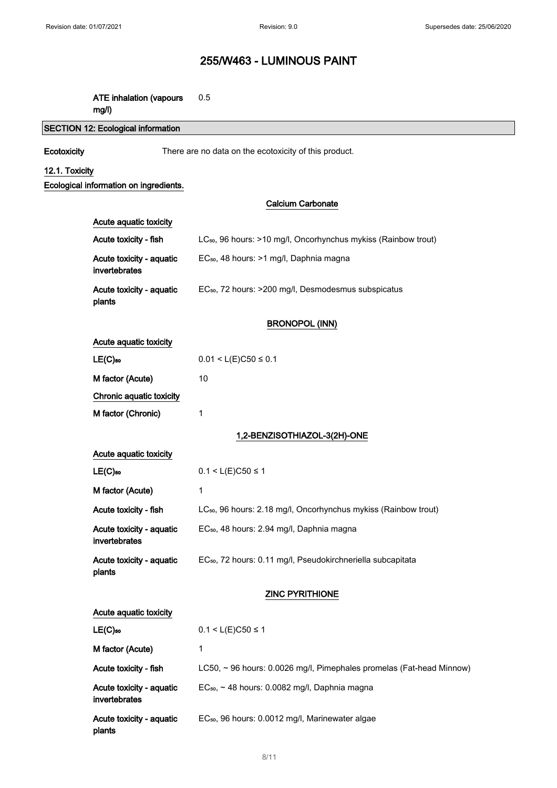### ATE inhalation (vapours 0.5

mg/l)

# SECTION 12: Ecological information

Ecotoxicity There are no data on the ecotoxicity of this product.

# 12.1. Toxicity

Ecological information on ingredients.

invertebrates

plants

# Calcium Carbonate

| Acute aquatic toxicity                    |                                                                             |
|-------------------------------------------|-----------------------------------------------------------------------------|
| Acute toxicity - fish                     | LC <sub>50</sub> , 96 hours: >10 mg/l, Oncorhynchus mykiss (Rainbow trout)  |
| Acute toxicity - aquatic<br>invertebrates | EC <sub>50</sub> , 48 hours: >1 mg/l, Daphnia magna                         |
| Acute toxicity - aquatic<br>plants        | EC <sub>50</sub> , 72 hours: >200 mg/l, Desmodesmus subspicatus             |
|                                           | <b>BRONOPOL (INN)</b>                                                       |
| Acute aquatic toxicity                    |                                                                             |
| $LE(C)$ <sub>50</sub>                     | $0.01 < L(E)C50 \le 0.1$                                                    |
| M factor (Acute)                          | 10                                                                          |
| Chronic aquatic toxicity                  |                                                                             |
| M factor (Chronic)                        | 1                                                                           |
|                                           | 1,2-BENZISOTHIAZOL-3(2H)-ONE                                                |
| Acute aquatic toxicity                    |                                                                             |
| $LE(C)$ <sub>50</sub>                     | $0.1 < L(E)$ C50 ≤ 1                                                        |
| M factor (Acute)                          | 1                                                                           |
| Acute toxicity - fish                     | LC <sub>50</sub> , 96 hours: 2.18 mg/l, Oncorhynchus mykiss (Rainbow trout) |
| Acute toxicity - aquatic<br>invertebrates | EC <sub>50</sub> , 48 hours: 2.94 mg/l, Daphnia magna                       |
| Acute toxicity - aquatic<br>plants        | EC <sub>50</sub> , 72 hours: 0.11 mg/l, Pseudokirchneriella subcapitata     |
|                                           | <b>ZINC PYRITHIONE</b>                                                      |
| Acute aquatic toxicity                    |                                                                             |
| $LE(C)$ <sub>50</sub>                     | $0.1 < L(E)C50 \le 1$                                                       |
| M factor (Acute)                          | 1                                                                           |
| Acute toxicity - fish                     | LC50, ~ 96 hours: 0.0026 mg/l, Pimephales promelas (Fat-head Minnow)        |
| Acute toxicity - aquatic                  | EC <sub>50</sub> , ~ 48 hours: 0.0082 mg/l, Daphnia magna                   |

Acute toxicity - aquatic EC<sub>50</sub>, 96 hours: 0.0012 mg/l, Marinewater algae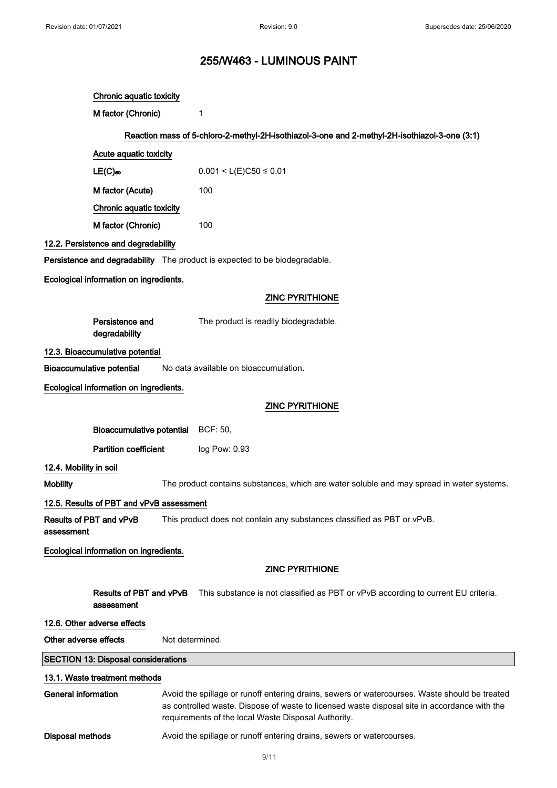|                            | Chronic aquatic toxicity                   |                                                                                                                                                                                                                                                      |
|----------------------------|--------------------------------------------|------------------------------------------------------------------------------------------------------------------------------------------------------------------------------------------------------------------------------------------------------|
|                            | M factor (Chronic)                         | 1                                                                                                                                                                                                                                                    |
|                            |                                            | Reaction mass of 5-chloro-2-methyl-2H-isothiazol-3-one and 2-methyl-2H-isothiazol-3-one (3:1)                                                                                                                                                        |
|                            | Acute aquatic toxicity                     |                                                                                                                                                                                                                                                      |
|                            | $LE(C)$ 50                                 | $0.001 < L(E)C50 \le 0.01$                                                                                                                                                                                                                           |
|                            | M factor (Acute)                           | 100                                                                                                                                                                                                                                                  |
|                            | Chronic aquatic toxicity                   |                                                                                                                                                                                                                                                      |
|                            | M factor (Chronic)                         | 100                                                                                                                                                                                                                                                  |
|                            | 12.2. Persistence and degradability        |                                                                                                                                                                                                                                                      |
|                            |                                            | Persistence and degradability The product is expected to be biodegradable.                                                                                                                                                                           |
|                            | Ecological information on ingredients.     |                                                                                                                                                                                                                                                      |
|                            |                                            | <b>ZINC PYRITHIONE</b>                                                                                                                                                                                                                               |
|                            | Persistence and<br>degradability           | The product is readily biodegradable.                                                                                                                                                                                                                |
|                            | 12.3. Bioaccumulative potential            |                                                                                                                                                                                                                                                      |
|                            | <b>Bioaccumulative potential</b>           | No data available on bioaccumulation.                                                                                                                                                                                                                |
|                            | Ecological information on ingredients.     |                                                                                                                                                                                                                                                      |
|                            |                                            | <b>ZINC PYRITHIONE</b>                                                                                                                                                                                                                               |
|                            | Bioaccumulative potential BCF: 50,         |                                                                                                                                                                                                                                                      |
|                            | <b>Partition coefficient</b>               | log Pow: 0.93                                                                                                                                                                                                                                        |
| 12.4. Mobility in soil     |                                            |                                                                                                                                                                                                                                                      |
| <b>Mobility</b>            |                                            | The product contains substances, which are water soluble and may spread in water systems.                                                                                                                                                            |
|                            | 12.5. Results of PBT and vPvB assessment   |                                                                                                                                                                                                                                                      |
| assessment                 | Results of PBT and vPvB                    | This product does not contain any substances classified as PBT or vPvB.                                                                                                                                                                              |
|                            | Ecological information on ingredients.     |                                                                                                                                                                                                                                                      |
|                            |                                            | <b>ZINC PYRITHIONE</b>                                                                                                                                                                                                                               |
|                            | Results of PBT and vPvB<br>assessment      | This substance is not classified as PBT or vPvB according to current EU criteria.                                                                                                                                                                    |
|                            | 12.6. Other adverse effects                |                                                                                                                                                                                                                                                      |
| Other adverse effects      |                                            | Not determined.                                                                                                                                                                                                                                      |
|                            | <b>SECTION 13: Disposal considerations</b> |                                                                                                                                                                                                                                                      |
|                            | 13.1. Waste treatment methods              |                                                                                                                                                                                                                                                      |
| <b>General information</b> |                                            | Avoid the spillage or runoff entering drains, sewers or watercourses. Waste should be treated<br>as controlled waste. Dispose of waste to licensed waste disposal site in accordance with the<br>requirements of the local Waste Disposal Authority. |
|                            |                                            |                                                                                                                                                                                                                                                      |
| <b>Disposal methods</b>    |                                            | Avoid the spillage or runoff entering drains, sewers or watercourses.                                                                                                                                                                                |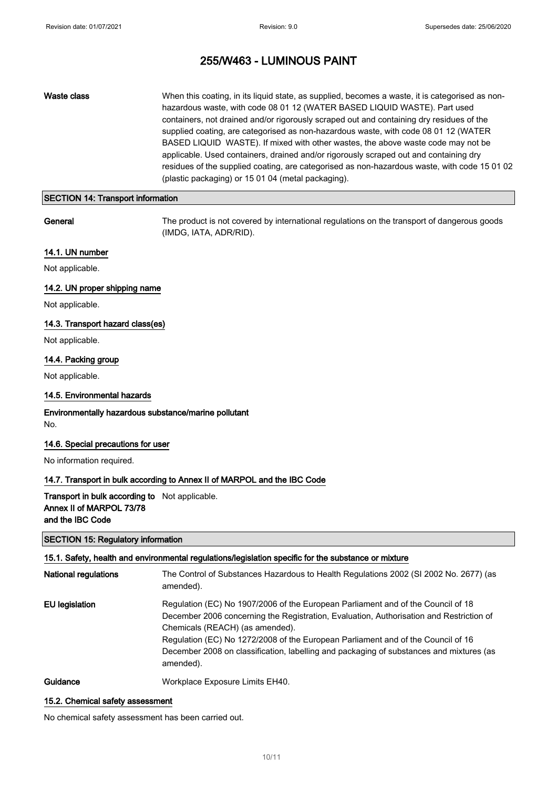Waste class When this coating, in its liquid state, as supplied, becomes a waste, it is categorised as nonhazardous waste, with code 08 01 12 (WATER BASED LIQUID WASTE). Part used containers, not drained and/or rigorously scraped out and containing dry residues of the supplied coating, are categorised as non-hazardous waste, with code 08 01 12 (WATER BASED LIQUID WASTE). If mixed with other wastes, the above waste code may not be applicable. Used containers, drained and/or rigorously scraped out and containing dry residues of the supplied coating, are categorised as non-hazardous waste, with code 15 01 02 (plastic packaging) or 15 01 04 (metal packaging).

# SECTION 14: Transport information

General The product is not covered by international regulations on the transport of dangerous goods (IMDG, IATA, ADR/RID).

## 14.1. UN number

Not applicable.

### 14.2. UN proper shipping name

Not applicable.

# 14.3. Transport hazard class(es)

Not applicable.

### 14.4. Packing group

Not applicable.

## 14.5. Environmental hazards

### Environmentally hazardous substance/marine pollutant No.

### 14.6. Special precautions for user

No information required.

## 14.7. Transport in bulk according to Annex II of MARPOL and the IBC Code

# Transport in bulk according to Not applicable. Annex II of MARPOL 73/78 and the IBC Code

# SECTION 15: Regulatory information

# 15.1. Safety, health and environmental regulations/legislation specific for the substance or mixture

| <b>National regulations</b> | The Control of Substances Hazardous to Health Regulations 2002 (SI 2002 No. 2677) (as<br>amended).                                                                                                                                                                                                                                                                                                         |
|-----------------------------|------------------------------------------------------------------------------------------------------------------------------------------------------------------------------------------------------------------------------------------------------------------------------------------------------------------------------------------------------------------------------------------------------------|
| <b>EU</b> legislation       | Regulation (EC) No 1907/2006 of the European Parliament and of the Council of 18<br>December 2006 concerning the Registration, Evaluation, Authorisation and Restriction of<br>Chemicals (REACH) (as amended).<br>Regulation (EC) No 1272/2008 of the European Parliament and of the Council of 16<br>December 2008 on classification, labelling and packaging of substances and mixtures (as<br>amended). |
| $O$ uldanaa                 | Warkplace Evropeure Limite EU40                                                                                                                                                                                                                                                                                                                                                                            |

# **Guidance Exposure Limits EH40.** Workplace Exposure Limits EH40.

### 15.2. Chemical safety assessment

No chemical safety assessment has been carried out.